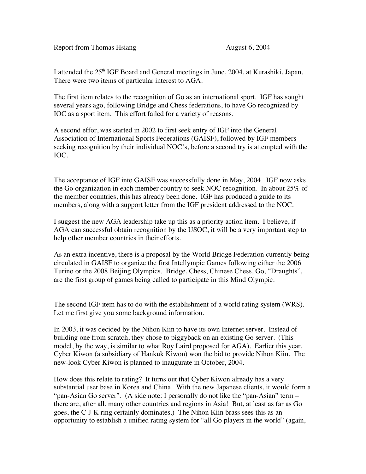Report from Thomas Hsiang August 6, 2004

I attended the 25<sup>th</sup> IGF Board and General meetings in June, 2004, at Kurashiki, Japan. There were two items of particular interest to AGA.

The first item relates to the recognition of Go as an international sport. IGF has sought several years ago, following Bridge and Chess federations, to have Go recognized by IOC as a sport item. This effort failed for a variety of reasons.

A second effor, was started in 2002 to first seek entry of IGF into the General Association of International Sports Federations (GAISF), followed by IGF members seeking recognition by their individual NOC's, before a second try is attempted with the IOC.

The acceptance of IGF into GAISF was successfully done in May, 2004. IGF now asks the Go organization in each member country to seek NOC recognition. In about 25% of the member countries, this has already been done. IGF has produced a guide to its members, along with a support letter from the IGF president addressed to the NOC.

I suggest the new AGA leadership take up this as a priority action item. I believe, if AGA can successful obtain recognition by the USOC, it will be a very important step to help other member countries in their efforts.

As an extra incentive, there is a proposal by the World Bridge Federation currently being circulated in GAISF to organize the first Intellympic Games following either the 2006 Turino or the 2008 Beijing Olympics. Bridge, Chess, Chinese Chess, Go, "Draughts", are the first group of games being called to participate in this Mind Olympic.

The second IGF item has to do with the establishment of a world rating system (WRS). Let me first give you some background information.

In 2003, it was decided by the Nihon Kiin to have its own Internet server. Instead of building one from scratch, they chose to piggyback on an existing Go server. (This model, by the way, is similar to what Roy Laird proposed for AGA). Earlier this year, Cyber Kiwon (a subsidiary of Hankuk Kiwon) won the bid to provide Nihon Kiin. The new-look Cyber Kiwon is planned to inaugurate in October, 2004.

How does this relate to rating? It turns out that Cyber Kiwon already has a very substantial user base in Korea and China. With the new Japanese clients, it would form a "pan-Asian Go server". (A side note: I personally do not like the "pan-Asian" term – there are, after all, many other countries and regions in Asia! But, at least as far as Go goes, the C-J-K ring certainly dominates.) The Nihon Kiin brass sees this as an opportunity to establish a unified rating system for "all Go players in the world" (again,